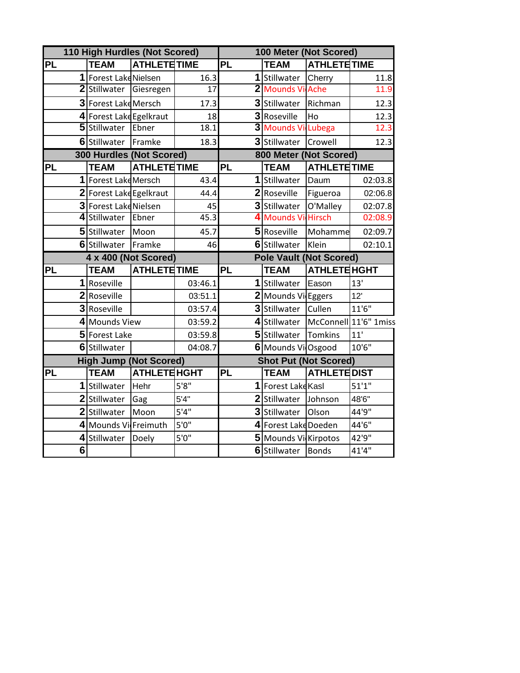|           | 110 High Hurdles (Not Scored)   |                     |                 |           | 100 Meter (Not Scored) |                                |                       |  |  |
|-----------|---------------------------------|---------------------|-----------------|-----------|------------------------|--------------------------------|-----------------------|--|--|
| <b>PL</b> | <b>TEAM</b>                     | <b>ATHLETE TIME</b> |                 | PL        | <b>TEAM</b>            | <b>ATHLETE TIME</b>            |                       |  |  |
|           | 1 Forest Lake Nielsen           |                     | 16.3            |           | 1 Stillwater           | Cherry                         | 11.8                  |  |  |
|           | 2 Stillwater                    | Giesregen           | $\overline{17}$ |           | 2 Mounds Vi Ache       |                                | 11.9                  |  |  |
|           | 3 Forest Lake Mersch            |                     | 17.3            |           | 3 Stillwater           | Richman                        | 12.3                  |  |  |
|           | 4 Forest Lake Egelkraut         |                     | 18              |           | 3 Roseville            | Ho                             | 12.3                  |  |  |
|           | 5 Stillwater                    | Ebner               | 18.1            |           | 3 Mounds Vi            | <b>Lubega</b>                  | 12.3                  |  |  |
|           | 6 Stillwater                    | Framke              | 18.3            |           | 3 Stillwater           | Crowell                        | 12.3                  |  |  |
|           | <b>300 Hurdles (Not Scored)</b> |                     |                 |           | 800 Meter (Not Scored) |                                |                       |  |  |
| <b>PL</b> | <b>TEAM</b>                     | <b>ATHLETE TIME</b> |                 | <b>PL</b> | <b>TEAM</b>            | <b>ATHLETE TIME</b>            |                       |  |  |
|           | 1 Forest Lake Mersch            |                     | 43.4            |           | 1 Stillwater           | Daum                           | 02:03.8               |  |  |
|           | 2 Forest Lake Egelkraut         |                     | 44.4            |           | 2 Roseville            | Figueroa                       | 02:06.8               |  |  |
|           | 3 Forest Lake Nielsen           |                     | 45              |           | 3 Stillwater           | O'Malley                       | 02:07.8               |  |  |
|           | 4 Stillwater                    | Ebner               | 45.3            |           | 4 Mounds Vi Hirsch     |                                | 02:08.9               |  |  |
|           | 5 Stillwater                    | Moon                | 45.7            |           | 5 Roseville            | Mohamme                        | 02:09.7               |  |  |
|           | 6 Stillwater                    | Framke              | 46              |           | 6 Stillwater           | Klein                          | 02:10.1               |  |  |
|           |                                 |                     |                 |           |                        |                                |                       |  |  |
|           | 4 x 400 (Not Scored)            |                     |                 |           |                        | <b>Pole Vault (Not Scored)</b> |                       |  |  |
| <b>PL</b> | <b>TEAM</b>                     | <b>ATHLETE TIME</b> |                 | <b>PL</b> | <b>TEAM</b>            | <b>ATHLETE HGHT</b>            |                       |  |  |
|           | 1 Roseville                     |                     | 03:46.1         |           | 1 Stillwater           | Eason                          | 13'                   |  |  |
|           | 2 Roseville                     |                     | 03:51.1         |           | 2 Mounds Vi Eggers     |                                | 12'                   |  |  |
|           | 3 Roseville                     |                     | 03:57.4         |           | 3 Stillwater           | Cullen                         | 11'6''                |  |  |
|           | 4 Mounds View                   |                     | 03:59.2         |           | 4 Stillwater           |                                | McConnell 11'6" 1miss |  |  |
|           | 5 Forest Lake                   |                     | 03:59.8         |           | 5 Stillwater           | Tomkins                        | 11'                   |  |  |
|           | 6 Stillwater                    |                     | 04:08.7         |           | 6 Mounds Vi Osgood     |                                | 10'6''                |  |  |
|           | <b>High Jump (Not Scored)</b>   |                     |                 |           |                        | <b>Shot Put (Not Scored)</b>   |                       |  |  |
| <b>PL</b> | <b>TEAM</b>                     | <b>ATHLETE HGHT</b> |                 | <b>PL</b> | <b>TEAM</b>            | <b>ATHLETE DIST</b>            |                       |  |  |
|           | 1 Stillwater                    | Hehr                | 5'8''           |           | 1 Forest Lake Kasl     |                                | 51'1''                |  |  |
|           | 2 Stillwater                    | Gag                 | 5'4"            |           | 2 Stillwater           | Johnson                        | 48'6"                 |  |  |
|           | 2 Stillwater                    | Moon                | 5'4''           |           | 3 Stillwater           | Olson                          | 44'9"                 |  |  |
|           | 4 Mounds Vi Freimuth            |                     | 5'0''           |           | 4 Forest Lake Doeden   |                                | 44'6"                 |  |  |
| 4         | Stillwater                      | Doely               | 5'0"            |           | 5 Mounds Vi Kirpotos   |                                | 42'9"                 |  |  |